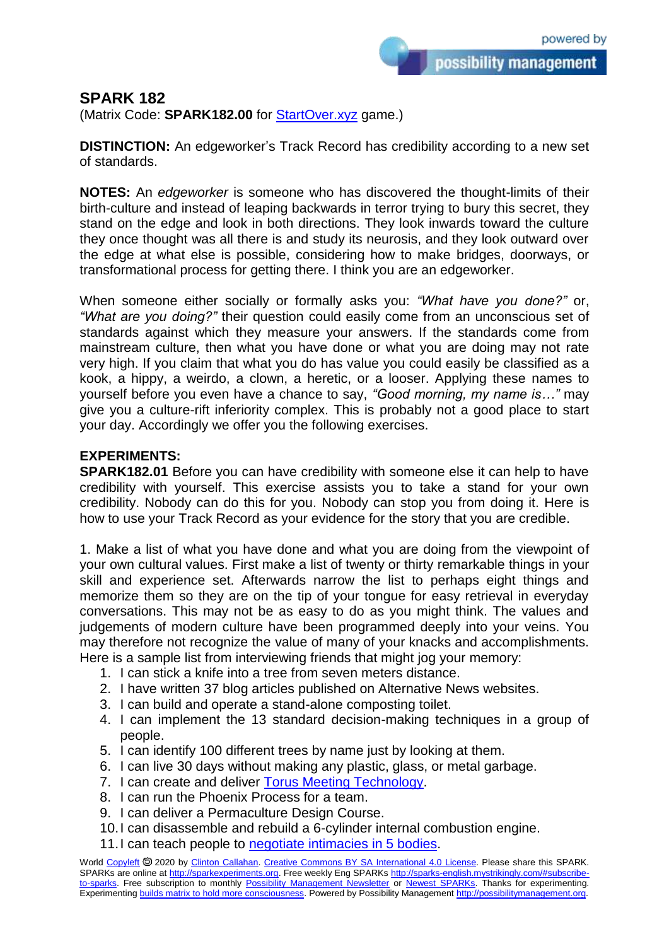possibility management

## **SPARK 182**

(Matrix Code: **SPARK182.00** for **StartOver.xyz** game.)

**DISTINCTION:** An edgeworker's Track Record has credibility according to a new set of standards.

**NOTES:** An *edgeworker* is someone who has discovered the thought-limits of their birth-culture and instead of leaping backwards in terror trying to bury this secret, they stand on the edge and look in both directions. They look inwards toward the culture they once thought was all there is and study its neurosis, and they look outward over the edge at what else is possible, considering how to make bridges, doorways, or transformational process for getting there. I think you are an edgeworker.

When someone either socially or formally asks you: *"What have you done?"* or, *"What are you doing?"* their question could easily come from an unconscious set of standards against which they measure your answers. If the standards come from mainstream culture, then what you have done or what you are doing may not rate very high. If you claim that what you do has value you could easily be classified as a kook, a hippy, a weirdo, a clown, a heretic, or a looser. Applying these names to yourself before you even have a chance to say, *"Good morning, my name is…"* may give you a culture-rift inferiority complex. This is probably not a good place to start your day. Accordingly we offer you the following exercises.

## **EXPERIMENTS:**

**SPARK182.01** Before you can have credibility with someone else it can help to have credibility with yourself. This exercise assists you to take a stand for your own credibility. Nobody can do this for you. Nobody can stop you from doing it. Here is how to use your Track Record as your evidence for the story that you are credible.

1. Make a list of what you have done and what you are doing from the viewpoint of your own cultural values. First make a list of twenty or thirty remarkable things in your skill and experience set. Afterwards narrow the list to perhaps eight things and memorize them so they are on the tip of your tongue for easy retrieval in everyday conversations. This may not be as easy to do as you might think. The values and judgements of modern culture have been programmed deeply into your veins. You may therefore not recognize the value of many of your knacks and accomplishments. Here is a sample list from interviewing friends that might jog your memory:

- 1. I can stick a knife into a tree from seven meters distance.
- 2. I have written 37 blog articles published on Alternative News websites.
- 3. I can build and operate a stand-alone composting toilet.
- 4. I can implement the 13 standard decision-making techniques in a group of people.
- 5. I can identify 100 different trees by name just by looking at them.
- 6. I can live 30 days without making any plastic, glass, or metal garbage.
- 7. I can create and deliver [Torus Meeting Technology.](http://torustechnology.mystrikingly.com/)
- 8. I can run the Phoenix Process for a team.
- 9. I can deliver a Permaculture Design Course.
- 10.I can disassemble and rebuild a 6-cylinder internal combustion engine.
- 11. I can teach people to [negotiate intimacies in 5 bodies.](http://intimacyjourneyers.mystrikingly.com/)